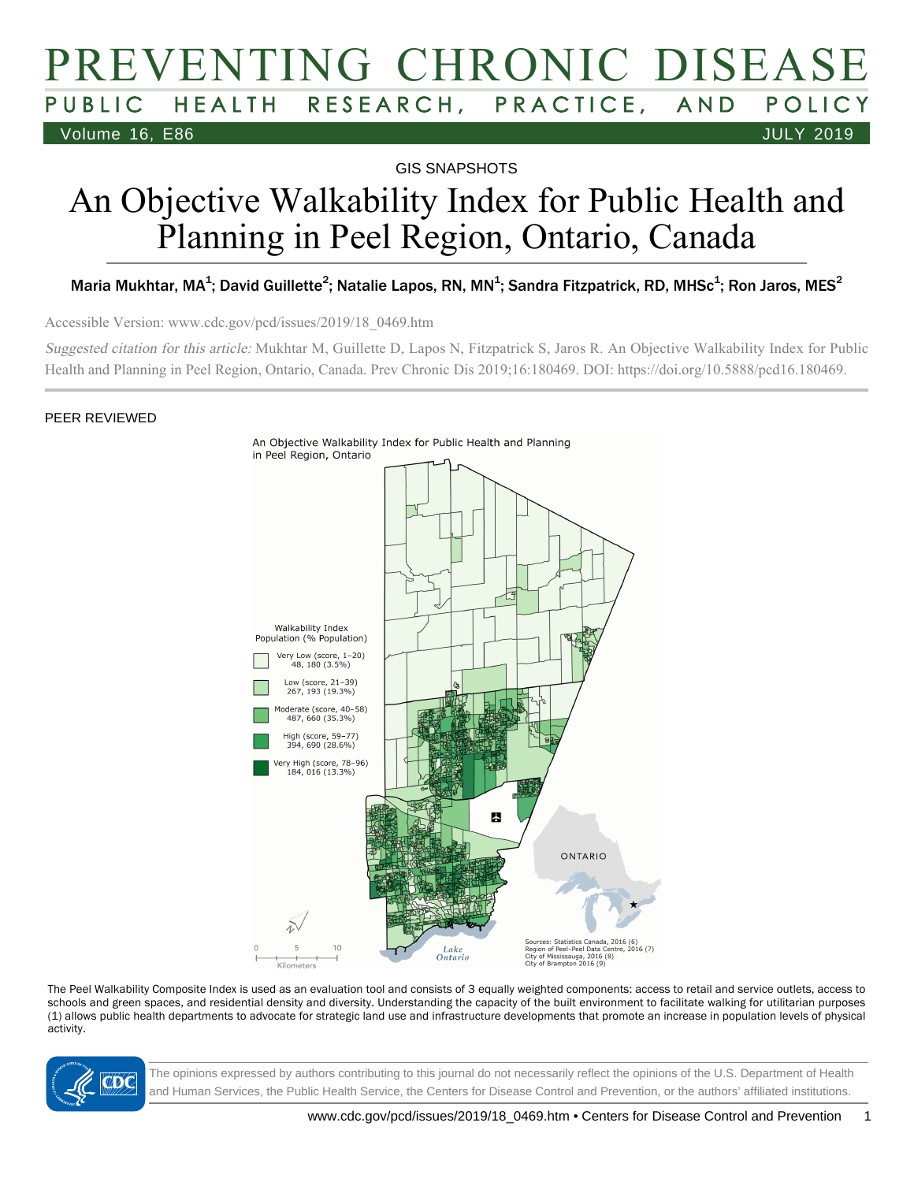# PREVENTING CHRONIC DISEASE PUBLIC HEALTH RESEARCH, PRACTICE, AND POLICY Volume 16, E86 JULY 2019

GIS SNAPSHOTS

# An Objective Walkability Index for Public Health and Planning in Peel Region, Ontario, Canada

### Maria Mukhtar, MA<sup>1</sup>; David Guillette<sup>2</sup>; Natalie Lapos, RN, MN<sup>1</sup>; Sandra Fitzpatrick, RD, MHSc<sup>1</sup>; Ron Jaros, MES<sup>2</sup>

Accessible Version: www.cdc.gov/pcd/issues/2019/18\_0469.htm

Suggested citation for this article: Mukhtar M, Guillette D, Lapos N, Fitzpatrick S, Jaros R. An Objective Walkability Index for Public Health and Planning in Peel Region, Ontario, Canada. Prev Chronic Dis 2019;16:180469. DOI: https://doi.org/10.5888/pcd16.180469.

#### PEER REVIEWED



The Peel Walkability Composite Index is used as an evaluation tool and consists of 3 equally weighted components: access to retail and service outlets, access to schools and green spaces, and residential density and diversity. Understanding the capacity of the built environment to facilitate walking for utilitarian purposes (1) allows public health departments to advocate for strategic land use and infrastructure developments that promote an increase in population levels of physical activity.



The opinions expressed by authors contributing to this journal do not necessarily reflect the opinions of the U.S. Department of Health and Human Services, the Public Health Service, the Centers for Disease Control and Prevention, or the authors' affiliated institutions.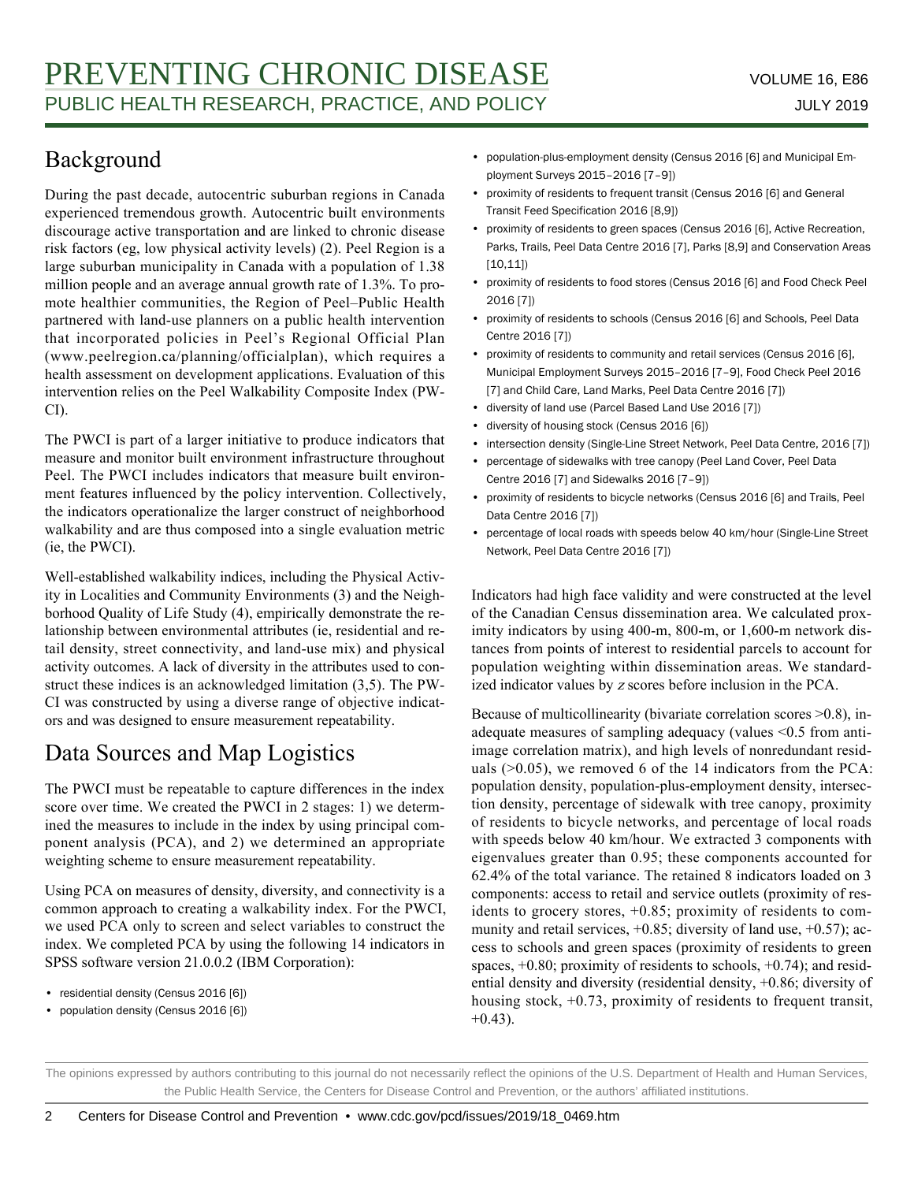## Background

During the past decade, autocentric suburban regions in Canada experienced tremendous growth. Autocentric built environments discourage active transportation and are linked to chronic disease risk factors (eg, low physical activity levels) (2). Peel Region is a large suburban municipality in Canada with a population of 1.38 million people and an average annual growth rate of 1.3%. To promote healthier communities, the Region of Peel–Public Health partnered with land-use planners on a public health intervention that incorporated policies in Peel's Regional Official Plan (www.peelregion.ca/planning/officialplan), which requires a health assessment on development applications. Evaluation of this intervention relies on the Peel Walkability Composite Index (PW-CI).

The PWCI is part of a larger initiative to produce indicators that measure and monitor built environment infrastructure throughout Peel. The PWCI includes indicators that measure built environment features influenced by the policy intervention. Collectively, the indicators operationalize the larger construct of neighborhood walkability and are thus composed into a single evaluation metric (ie, the PWCI).

Well-established walkability indices, including the Physical Activity in Localities and Community Environments (3) and the Neighborhood Quality of Life Study (4), empirically demonstrate the relationship between environmental attributes (ie, residential and retail density, street connectivity, and land-use mix) and physical activity outcomes. A lack of diversity in the attributes used to construct these indices is an acknowledged limitation (3,5). The PW-CI was constructed by using a diverse range of objective indicators and was designed to ensure measurement repeatability.

# Data Sources and Map Logistics

The PWCI must be repeatable to capture differences in the index score over time. We created the PWCI in 2 stages: 1) we determined the measures to include in the index by using principal component analysis (PCA), and 2) we determined an appropriate weighting scheme to ensure measurement repeatability.

Using PCA on measures of density, diversity, and connectivity is a common approach to creating a walkability index. For the PWCI, we used PCA only to screen and select variables to construct the index. We completed PCA by using the following 14 indicators in SPSS software version 21.0.0.2 (IBM Corporation):

- residential density (Census 2016 [6])
- population density (Census 2016 [6])
- population-plus-employment density (Census 2016 [6] and Municipal Employment Surveys 2015–2016 [7–9])
- proximity of residents to frequent transit (Census 2016 [6] and General Transit Feed Specification 2016 [8,9])
- proximity of residents to green spaces (Census 2016 [6], Active Recreation, Parks, Trails, Peel Data Centre 2016 [7], Parks [8,9] and Conservation Areas  $[10,11]$
- proximity of residents to food stores (Census 2016 [6] and Food Check Peel 2016 [7])
- proximity of residents to schools (Census 2016 [6] and Schools, Peel Data Centre 2016 [7])
- proximity of residents to community and retail services (Census 2016 [6], Municipal Employment Surveys 2015–2016 [7–9], Food Check Peel 2016 [7] and Child Care, Land Marks, Peel Data Centre 2016 [7])
- diversity of land use (Parcel Based Land Use 2016 [7])
- diversity of housing stock (Census 2016 [6])
- intersection density (Single-Line Street Network, Peel Data Centre, 2016 [7])
- percentage of sidewalks with tree canopy (Peel Land Cover, Peel Data Centre 2016 [7] and Sidewalks 2016 [7–9])
- proximity of residents to bicycle networks (Census 2016 [6] and Trails, Peel Data Centre 2016 [7])
- percentage of local roads with speeds below 40 km/hour (Single-Line Street Network, Peel Data Centre 2016 [7])

Indicators had high face validity and were constructed at the level of the Canadian Census dissemination area. We calculated proximity indicators by using 400-m, 800-m, or 1,600-m network distances from points of interest to residential parcels to account for population weighting within dissemination areas. We standardized indicator values by z scores before inclusion in the PCA.

Because of multicollinearity (bivariate correlation scores >0.8), inadequate measures of sampling adequacy (values <0.5 from antiimage correlation matrix), and high levels of nonredundant residuals  $(>0.05)$ , we removed 6 of the 14 indicators from the PCA: population density, population-plus-employment density, intersection density, percentage of sidewalk with tree canopy, proximity of residents to bicycle networks, and percentage of local roads with speeds below 40 km/hour. We extracted 3 components with eigenvalues greater than 0.95; these components accounted for 62.4% of the total variance. The retained 8 indicators loaded on 3 components: access to retail and service outlets (proximity of residents to grocery stores, +0.85; proximity of residents to community and retail services, +0.85; diversity of land use, +0.57); access to schools and green spaces (proximity of residents to green spaces, +0.80; proximity of residents to schools, +0.74); and residential density and diversity (residential density, +0.86; diversity of housing stock, +0.73, proximity of residents to frequent transit,  $+0.43$ ).

The opinions expressed by authors contributing to this journal do not necessarily reflect the opinions of the U.S. Department of Health and Human Services, the Public Health Service, the Centers for Disease Control and Prevention, or the authors' affiliated institutions.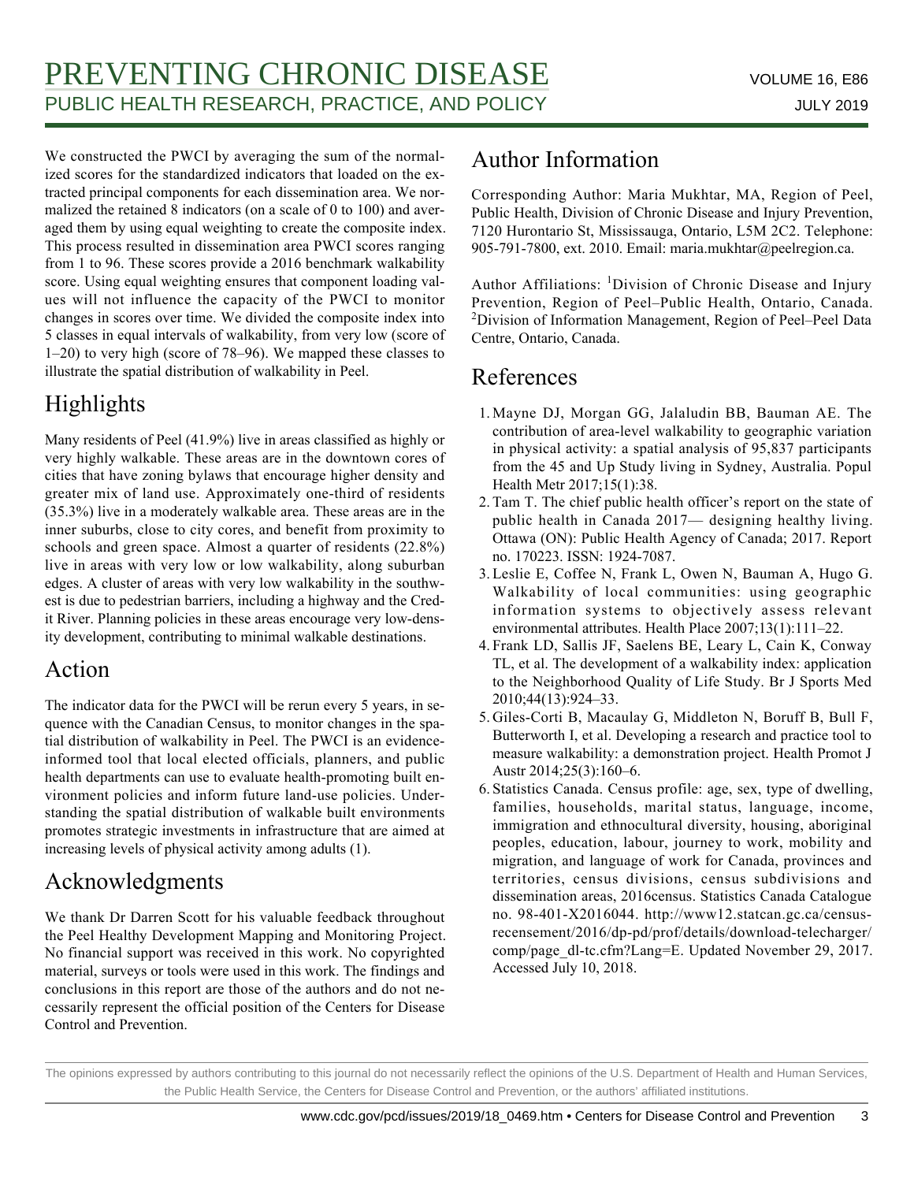We constructed the PWCI by averaging the sum of the normalized scores for the standardized indicators that loaded on the extracted principal components for each dissemination area. We normalized the retained 8 indicators (on a scale of 0 to 100) and averaged them by using equal weighting to create the composite index. This process resulted in dissemination area PWCI scores ranging from 1 to 96. These scores provide a 2016 benchmark walkability score. Using equal weighting ensures that component loading values will not influence the capacity of the PWCI to monitor changes in scores over time. We divided the composite index into 5 classes in equal intervals of walkability, from very low (score of 1–20) to very high (score of 78–96). We mapped these classes to illustrate the spatial distribution of walkability in Peel.

# Highlights

Many residents of Peel (41.9%) live in areas classified as highly or very highly walkable. These areas are in the downtown cores of cities that have zoning bylaws that encourage higher density and greater mix of land use. Approximately one-third of residents (35.3%) live in a moderately walkable area. These areas are in the inner suburbs, close to city cores, and benefit from proximity to schools and green space. Almost a quarter of residents (22.8%) live in areas with very low or low walkability, along suburban edges. A cluster of areas with very low walkability in the southwest is due to pedestrian barriers, including a highway and the Credit River. Planning policies in these areas encourage very low-density development, contributing to minimal walkable destinations.

### Action

The indicator data for the PWCI will be rerun every 5 years, in sequence with the Canadian Census, to monitor changes in the spatial distribution of walkability in Peel. The PWCI is an evidenceinformed tool that local elected officials, planners, and public health departments can use to evaluate health-promoting built environment policies and inform future land-use policies. Understanding the spatial distribution of walkable built environments promotes strategic investments in infrastructure that are aimed at increasing levels of physical activity among adults (1).

# Acknowledgments

We thank Dr Darren Scott for his valuable feedback throughout the Peel Healthy Development Mapping and Monitoring Project. No financial support was received in this work. No copyrighted material, surveys or tools were used in this work. The findings and conclusions in this report are those of the authors and do not necessarily represent the official position of the Centers for Disease Control and Prevention.

# Author Information

Corresponding Author: Maria Mukhtar, MA, Region of Peel, Public Health, Division of Chronic Disease and Injury Prevention, 7120 Hurontario St, Mississauga, Ontario, L5M 2C2. Telephone: 905-791-7800, ext. 2010. Email: maria.mukhtar@peelregion.ca.

Author Affiliations: <sup>1</sup>Division of Chronic Disease and Injury Prevention, Region of Peel–Public Health, Ontario, Canada. <sup>2</sup>Division of Information Management, Region of Peel-Peel Data Centre, Ontario, Canada.

# References

- 1. Mayne DJ, Morgan GG, Jalaludin BB, Bauman AE. The contribution of area-level walkability to geographic variation in physical activity: a spatial analysis of 95,837 participants from the 45 and Up Study living in Sydney, Australia. Popul Health Metr 2017;15(1):38.
- 2. Tam T. The chief public health officer's report on the state of public health in Canada 2017— designing healthy living. Ottawa (ON): Public Health Agency of Canada; 2017. Report no. 170223. ISSN: 1924-7087.
- 3. Leslie E, Coffee N, Frank L, Owen N, Bauman A, Hugo G. Walkability of local communities: using geographic information systems to objectively assess relevant environmental attributes. Health Place 2007;13(1):111–22.
- 4. Frank LD, Sallis JF, Saelens BE, Leary L, Cain K, Conway TL, et al. The development of a walkability index: application to the Neighborhood Quality of Life Study. Br J Sports Med 2010;44(13):924–33.
- 5. Giles-Corti B, Macaulay G, Middleton N, Boruff B, Bull F, Butterworth I, et al. Developing a research and practice tool to measure walkability: a demonstration project. Health Promot J Austr 2014;25(3):160–6.
- 6. Statistics Canada. Census profile: age, sex, type of dwelling, families, households, marital status, language, income, immigration and ethnocultural diversity, housing, aboriginal peoples, education, labour, journey to work, mobility and migration, and language of work for Canada, provinces and territories, census divisions, census subdivisions and dissemination areas, 2016census. Statistics Canada Catalogue no. 98-401-X2016044. http://www12.statcan.gc.ca/censusrecensement/2016/dp-pd/prof/details/download-telecharger/ comp/page\_dl-tc.cfm?Lang=E. Updated November 29, 2017. Accessed July 10, 2018.

The opinions expressed by authors contributing to this journal do not necessarily reflect the opinions of the U.S. Department of Health and Human Services, the Public Health Service, the Centers for Disease Control and Prevention, or the authors' affiliated institutions.